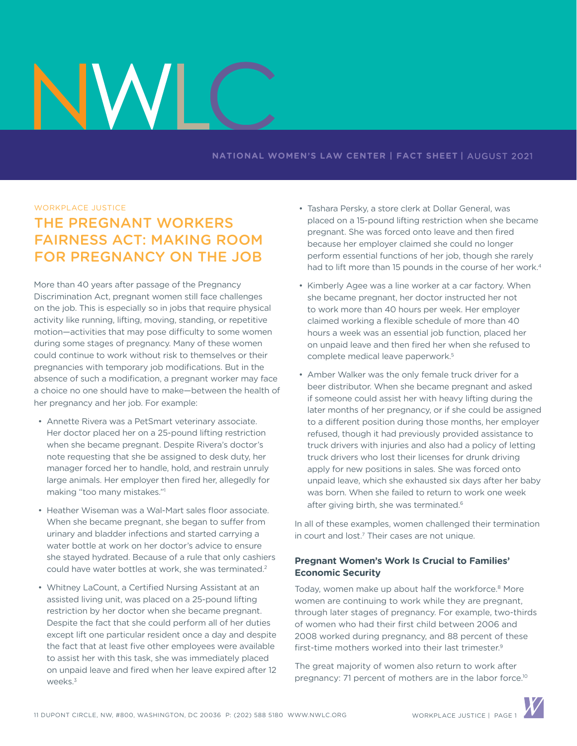## **NATIONAL WOMEN'S LAW CENTER | FACT SHEET |** AUGUST 2021

### WORKPLACE JUSTICE

# THE PREGNANT WORKERS FAIRNESS ACT: MAKING ROOM FOR PREGNANCY ON THE JOB

More than 40 years after passage of the Pregnancy Discrimination Act, pregnant women still face challenges on the job. This is especially so in jobs that require physical activity like running, lifting, moving, standing, or repetitive motion—activities that may pose difficulty to some women during some stages of pregnancy. Many of these women could continue to work without risk to themselves or their pregnancies with temporary job modifications. But in the absence of such a modification, a pregnant worker may face a choice no one should have to make—between the health of her pregnancy and her job. For example:

- Annette Rivera was a PetSmart veterinary associate. Her doctor placed her on a 25-pound lifting restriction when she became pregnant. Despite Rivera's doctor's note requesting that she be assigned to desk duty, her manager forced her to handle, hold, and restrain unruly large animals. Her employer then fired her, allegedly for making "too many mistakes."1
- Heather Wiseman was a Wal-Mart sales floor associate. When she became pregnant, she began to suffer from urinary and bladder infections and started carrying a water bottle at work on her doctor's advice to ensure she stayed hydrated. Because of a rule that only cashiers could have water bottles at work, she was terminated.2
- Whitney LaCount, a Certified Nursing Assistant at an assisted living unit, was placed on a 25-pound lifting restriction by her doctor when she became pregnant. Despite the fact that she could perform all of her duties except lift one particular resident once a day and despite the fact that at least five other employees were available to assist her with this task, she was immediately placed on unpaid leave and fired when her leave expired after 12 weeks.<sup>3</sup>
- Tashara Persky, a store clerk at Dollar General, was placed on a 15-pound lifting restriction when she became pregnant. She was forced onto leave and then fired because her employer claimed she could no longer perform essential functions of her job, though she rarely had to lift more than 15 pounds in the course of her work.<sup>4</sup>
- Kimberly Agee was a line worker at a car factory. When she became pregnant, her doctor instructed her not to work more than 40 hours per week. Her employer claimed working a flexible schedule of more than 40 hours a week was an essential job function, placed her on unpaid leave and then fired her when she refused to complete medical leave paperwork.<sup>5</sup>
- Amber Walker was the only female truck driver for a beer distributor. When she became pregnant and asked if someone could assist her with heavy lifting during the later months of her pregnancy, or if she could be assigned to a different position during those months, her employer refused, though it had previously provided assistance to truck drivers with injuries and also had a policy of letting truck drivers who lost their licenses for drunk driving apply for new positions in sales. She was forced onto unpaid leave, which she exhausted six days after her baby was born. When she failed to return to work one week after giving birth, she was terminated.<sup>6</sup>

In all of these examples, women challenged their termination in court and lost.7 Their cases are not unique.

# **Pregnant Women's Work Is Crucial to Families' Economic Security**

Today, women make up about half the workforce.<sup>8</sup> More women are continuing to work while they are pregnant, through later stages of pregnancy. For example, two-thirds of women who had their first child between 2006 and 2008 worked during pregnancy, and 88 percent of these first-time mothers worked into their last trimester.9

The great majority of women also return to work after pregnancy: 71 percent of mothers are in the labor force.<sup>10</sup>

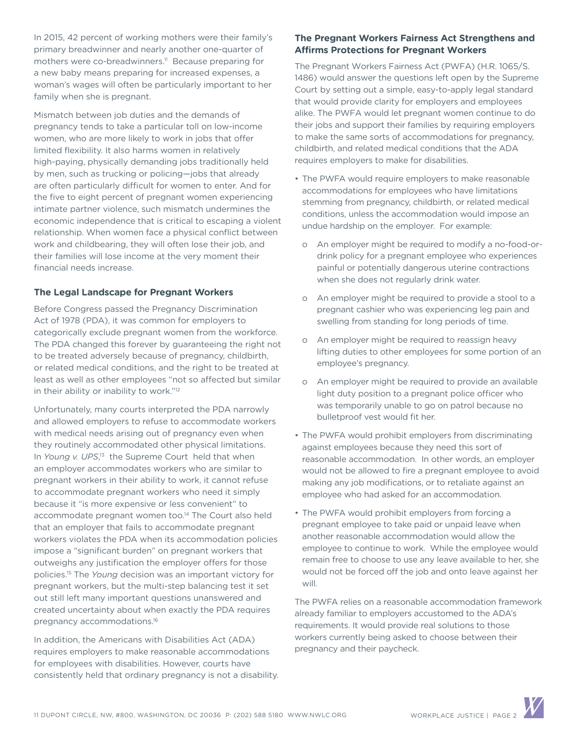In 2015, 42 percent of working mothers were their family's primary breadwinner and nearly another one-quarter of mothers were co-breadwinners.<sup>11</sup> Because preparing for a new baby means preparing for increased expenses, a woman's wages will often be particularly important to her family when she is pregnant.

Mismatch between job duties and the demands of pregnancy tends to take a particular toll on low-income women, who are more likely to work in jobs that offer limited flexibility. It also harms women in relatively high-paying, physically demanding jobs traditionally held by men, such as trucking or policing—jobs that already are often particularly difficult for women to enter. And for the five to eight percent of pregnant women experiencing intimate partner violence, such mismatch undermines the economic independence that is critical to escaping a violent relationship. When women face a physical conflict between work and childbearing, they will often lose their job, and their families will lose income at the very moment their financial needs increase.

# **The Legal Landscape for Pregnant Workers**

Before Congress passed the Pregnancy Discrimination Act of 1978 (PDA), it was common for employers to categorically exclude pregnant women from the workforce. The PDA changed this forever by guaranteeing the right not to be treated adversely because of pregnancy, childbirth, or related medical conditions, and the right to be treated at least as well as other employees "not so affected but similar in their ability or inability to work."12

Unfortunately, many courts interpreted the PDA narrowly and allowed employers to refuse to accommodate workers with medical needs arising out of pregnancy even when they routinely accommodated other physical limitations. In Young v. UPS,<sup>13</sup> the Supreme Court held that when an employer accommodates workers who are similar to pregnant workers in their ability to work, it cannot refuse to accommodate pregnant workers who need it simply because it "is more expensive or less convenient" to accommodate pregnant women too.<sup>14</sup> The Court also held that an employer that fails to accommodate pregnant workers violates the PDA when its accommodation policies impose a "significant burden" on pregnant workers that outweighs any justification the employer offers for those policies.15 The *Young* decision was an important victory for pregnant workers, but the multi-step balancing test it set out still left many important questions unanswered and created uncertainty about when exactly the PDA requires pregnancy accommodations.16

In addition, the Americans with Disabilities Act (ADA) requires employers to make reasonable accommodations for employees with disabilities. However, courts have consistently held that ordinary pregnancy is not a disability.

# **The Pregnant Workers Fairness Act Strengthens and Affirms Protections for Pregnant Workers**

The Pregnant Workers Fairness Act (PWFA) (H.R. 1065/S. 1486) would answer the questions left open by the Supreme Court by setting out a simple, easy-to-apply legal standard that would provide clarity for employers and employees alike. The PWFA would let pregnant women continue to do their jobs and support their families by requiring employers to make the same sorts of accommodations for pregnancy, childbirth, and related medical conditions that the ADA requires employers to make for disabilities.

- The PWFA would require employers to make reasonable accommodations for employees who have limitations stemming from pregnancy, childbirth, or related medical conditions, unless the accommodation would impose an undue hardship on the employer. For example:
	- o An employer might be required to modify a no-food-ordrink policy for a pregnant employee who experiences painful or potentially dangerous uterine contractions when she does not regularly drink water.
	- o An employer might be required to provide a stool to a pregnant cashier who was experiencing leg pain and swelling from standing for long periods of time.
	- o An employer might be required to reassign heavy lifting duties to other employees for some portion of an employee's pregnancy.
	- o An employer might be required to provide an available light duty position to a pregnant police officer who was temporarily unable to go on patrol because no bulletproof vest would fit her.
- The PWFA would prohibit employers from discriminating against employees because they need this sort of reasonable accommodation. In other words, an employer would not be allowed to fire a pregnant employee to avoid making any job modifications, or to retaliate against an employee who had asked for an accommodation.
- The PWFA would prohibit employers from forcing a pregnant employee to take paid or unpaid leave when another reasonable accommodation would allow the employee to continue to work. While the employee would remain free to choose to use any leave available to her, she would not be forced off the job and onto leave against her will.

The PWFA relies on a reasonable accommodation framework already familiar to employers accustomed to the ADA's requirements. It would provide real solutions to those workers currently being asked to choose between their pregnancy and their paycheck.